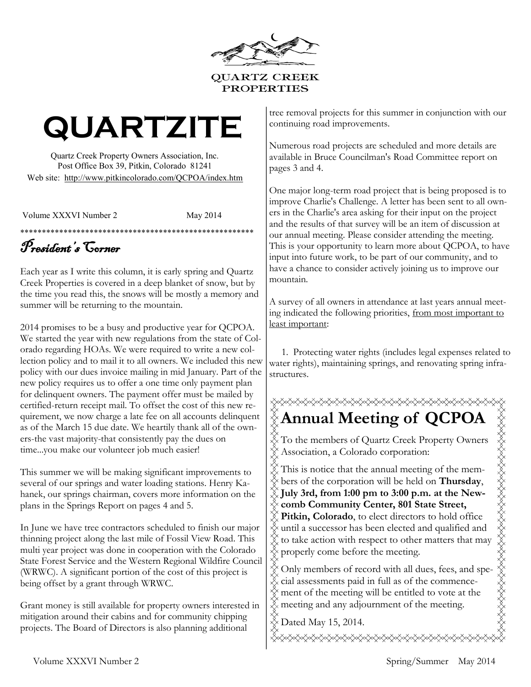

# **QUARTZITE**

Quartz Creek Property Owners Association, Inc. Post Office Box 39, Pitkin, Colorado 81241 Web site: http://www.pitkincolorado.com/QCPOA/index.htm

Volume XXXVI Number 2 May 2014

### \*\*\*\*\*\*\*\*\*\*\*\*\*\*\*\*\*\*\*\*\*\*\*\*\*\*\*\*\*\*\*\*\*\*\*\*\*\*\*\*\*\*\*\*\*\*\*\*\*\*\*\*\*\* President's Corner

Each year as I write this column, it is early spring and Quartz Creek Properties is covered in a deep blanket of snow, but by the time you read this, the snows will be mostly a memory and summer will be returning to the mountain.

2014 promises to be a busy and productive year for QCPOA. We started the year with new regulations from the state of Colorado regarding HOAs. We were required to write a new collection policy and to mail it to all owners. We included this new policy with our dues invoice mailing in mid January. Part of the new policy requires us to offer a one time only payment plan for delinquent owners. The payment offer must be mailed by certified-return receipt mail. To offset the cost of this new requirement, we now charge a late fee on all accounts delinquent as of the March 15 due date. We heartily thank all of the owners-the vast majority-that consistently pay the dues on time...you make our volunteer job much easier!

This summer we will be making significant improvements to several of our springs and water loading stations. Henry Kahanek, our springs chairman, covers more information on the plans in the Springs Report on pages 4 and 5.

In June we have tree contractors scheduled to finish our major thinning project along the last mile of Fossil View Road. This multi year project was done in cooperation with the Colorado State Forest Service and the Western Regional Wildfire Council (WRWC). A significant portion of the cost of this project is being offset by a grant through WRWC.

Grant money is still available for property owners interested in mitigation around their cabins and for community chipping projects. The Board of Directors is also planning additional

tree removal projects for this summer in conjunction with our continuing road improvements.

Numerous road projects are scheduled and more details are available in Bruce Councilman's Road Committee report on pages 3 and 4.

One major long-term road project that is being proposed is to improve Charlie's Challenge. A letter has been sent to all owners in the Charlie's area asking for their input on the project and the results of that survey will be an item of discussion at our annual meeting. Please consider attending the meeting. This is your opportunity to learn more about QCPOA, to have input into future work, to be part of our community, and to have a chance to consider actively joining us to improve our mountain.

A survey of all owners in attendance at last years annual meeting indicated the following priorities, from most important to least important:

 1. Protecting water rights (includes legal expenses related to water rights), maintaining springs, and renovating spring infrastructures.



To the members of Quartz Creek Property Owners Association, a Colorado corporation:

This is notice that the annual meeting of the members of the corporation will be held on **Thursday**, **July 3rd, from 1:00 pm to 3:00 p.m. at the New-**

- **comb Community Center, 801 State Street,**
- **Pitkin, Colorado**, to elect directors to hold office until a successor has been elected and qualified and to take action with respect to other matters that may properly come before the meeting.
- Only members of record with all dues, fees, and special assessments paid in full as of the commencement of the meeting will be entitled to vote at the meeting and any adjournment of the meeting.
- Dated May 15, 2014.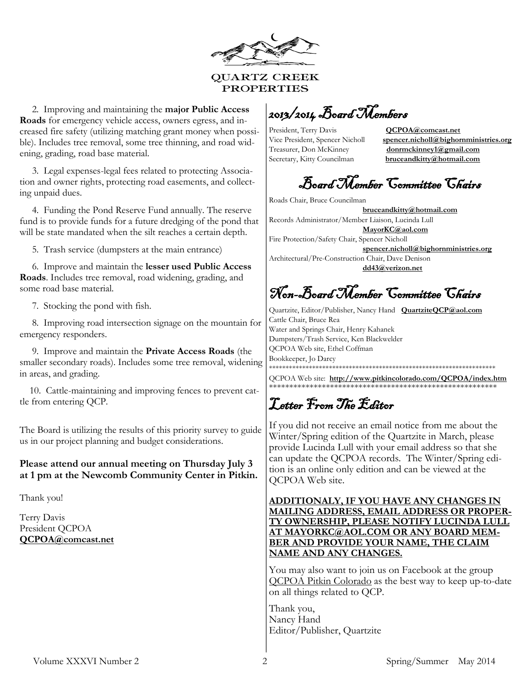

<span id="page-1-0"></span> 2. Improving and maintaining the **major Public Access Roads** for emergency vehicle access, owners egress, and increased fire safety (utilizing matching grant money when possible). Includes tree removal, some tree thinning, and road widening, grading, road base material.

 3. Legal expenses-legal fees related to protecting Association and owner rights, protecting road easements, and collecting unpaid dues.

 4. Funding the Pond Reserve Fund annually. The reserve fund is to provide funds for a future dredging of the pond that will be state mandated when the silt reaches a certain depth.

5. Trash service (dumpsters at the main entrance)

 6. Improve and maintain the **lesser used Public Access Roads**. Includes tree removal, road widening, grading, and some road base material.

7. Stocking the pond with fish.

 8. Improving road intersection signage on the mountain for emergency responders.

 9. Improve and maintain the **Private Access Roads** (the smaller secondary roads). Includes some tree removal, widening in areas, and grading.

 10. Cattle-maintaining and improving fences to prevent cattle from entering QCP.

The Board is utilizing the results of this priority survey to guide us in our project planning and budget considerations.

#### **Please attend our annual meeting on Thursday July 3 at 1 pm at the Newcomb Community Center in Pitkin.**

Thank you!

Terry Davis President QCPOA **[QCPOA@comcast.net](mailto:QCPOA@comcast.net)**

2013/2014 Board Members

President, Terry Davis **QCPOA@comcast.net** Treasurer, Don McKinney **donrmckinney1@gmail.com** Secretary, Kitty Councilman **bruceandkitty@hotmail.com**

Vice President, Spencer Nicholl **spencer.nicholl@bighornministries.org**

# Board Member Committee Chairs

Roads Chair, Bruce Councilman

 **bruceandkitty@hotmail.com** Records Administrator/Member Liaison, Lucinda Lull **MayorKC@aol.com** Fire Protection/Safety Chair, Spencer Nicholl **spencer.nicholl@bighornministries.org** Architectural/Pre-Construction Chair, Dave Denison

**dd43@verizon.net**

# Non-Board Member Committee Chairs

Quartzite, Editor/Publisher, Nancy Hand **QuartziteQCP@aol.com** Cattle Chair, Bruce Rea Water and Springs Chair, Henry Kahanek Dumpsters/Trash Service, Ken Blackwelder QCPOA Web site, Ethel Coffman Bookkeeper, Jo Darcy \*\*\*\*\*\*\*\*\*\*\*\*\*\*\*\*\*\*\*\*\*\*\*\*\*\*\*\*\*\*\*\*\*\*\*\*\*\*\*\*\*\*\*\*\*\*\*\*\*\*\*\*\*\*\*\*\*\*\*\*\*\*\*\*\*\*\*\*

QCPOA Web site: **[http://www.pitkincolorado.com/QCPOA/index.htm](#page-1-0)** \*\*\*\*\*\*\*\*\*\*\*\*\*\*\*\*\*\*\*\*\*\*\*\*\*\*\*\*\*\*\*\*\*\*\*\*\*\*\*\*\*\*\*\*\*\*\*\*\*\*\*\*\*\*\*\*

Letter From The Editor

If you did not receive an email notice from me about the Winter/Spring edition of the Quartzite in March, please provide Lucinda Lull with your email address so that she can update the QCPOA records. The Winter/Spring edition is an online only edition and can be viewed at the QCPOA Web site.

**ADDITIONALY, IF YOU HAVE ANY CHANGES IN MAILING ADDRESS, EMAIL ADDRESS OR PROPER-TY OWNERSHIP, PLEASE NOTIFY LUCINDA LULL AT MAYORKC@AOL.COM OR ANY BOARD MEM-BER AND PROVIDE YOUR NAME, THE CLAIM NAME AND ANY CHANGES.** 

You may also want to join us on Facebook at the group QCPOA Pitkin Colorado as the best way to keep up-to-date on all things related to QCP.

Thank you, Nancy Hand Editor/Publisher, Quartzite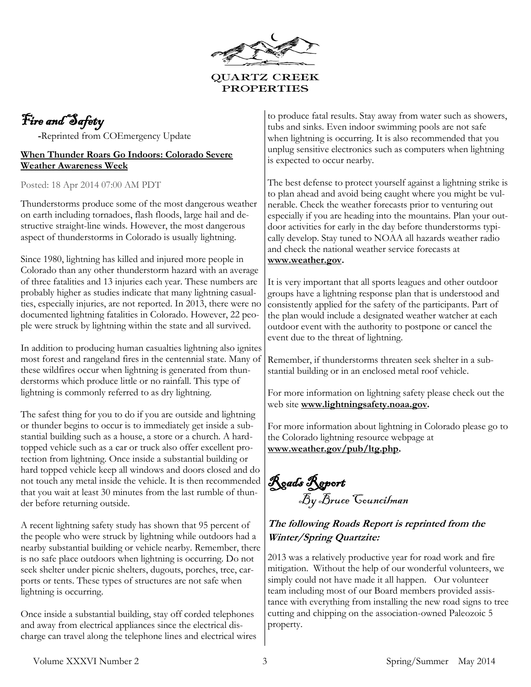

## Fire and Safety

 **-**Reprinted from COEmergency Update

#### **[When Thunder Roars Go Indoors: Colorado Severe](http://feedproxy.google.com/~r/COEmergency/~3/ba9FlXdkCf8/when-thunder-roars-go-indoors-colorado.html?utm_source=feedburner&utm_medium=email)  [Weather Awareness Week](http://feedproxy.google.com/~r/COEmergency/~3/ba9FlXdkCf8/when-thunder-roars-go-indoors-colorado.html?utm_source=feedburner&utm_medium=email)**

Posted: 18 Apr 2014 07:00 AM PDT

Thunderstorms produce some of the most dangerous weather on earth including tornadoes, flash floods, large hail and destructive straight-line winds. However, the most dangerous aspect of thunderstorms in Colorado is usually lightning.

Since 1980, lightning has killed and injured more people in Colorado than any other thunderstorm hazard with an average of three fatalities and 13 injuries each year. These numbers are probably higher as studies indicate that many lightning casualties, especially injuries, are not reported. In 2013, there were no documented lightning fatalities in Colorado. However, 22 people were struck by lightning within the state and all survived.

In addition to producing human casualties lightning also ignites most forest and rangeland fires in the centennial state. Many of these wildfires occur when lightning is generated from thunderstorms which produce little or no rainfall. This type of lightning is commonly referred to as dry lightning.

The safest thing for you to do if you are outside and lightning or thunder begins to occur is to immediately get inside a substantial building such as a house, a store or a church. A hardtopped vehicle such as a car or truck also offer excellent protection from lightning. Once inside a substantial building or hard topped vehicle keep all windows and doors closed and do not touch any metal inside the vehicle. It is then recommended that you wait at least 30 minutes from the last rumble of thunder before returning outside.

A recent lightning safety study has shown that 95 percent of the people who were struck by lightning while outdoors had a nearby substantial building or vehicle nearby. Remember, there is no safe place outdoors when lightning is occurring. Do not seek shelter under picnic shelters, dugouts, porches, tree, carports or tents. These types of structures are not safe when lightning is occurring.

Once inside a substantial building, stay off corded telephones and away from electrical appliances since the electrical discharge can travel along the telephone lines and electrical wires to produce fatal results. Stay away from water such as showers, tubs and sinks. Even indoor swimming pools are not safe when lightning is occurring. It is also recommended that you unplug sensitive electronics such as computers when lightning is expected to occur nearby.

The best defense to protect yourself against a lightning strike is to plan ahead and avoid being caught where you might be vulnerable. Check the weather forecasts prior to venturing out especially if you are heading into the mountains. Plan your outdoor activities for early in the day before thunderstorms typically develop. Stay tuned to NOAA all hazards weather radio and check the national weather service forecasts at **[www.weather.gov.](http://www.weather.gov/)** 

It is very important that all sports leagues and other outdoor groups have a lightning response plan that is understood and consistently applied for the safety of the participants. Part of the plan would include a designated weather watcher at each outdoor event with the authority to postpone or cancel the event due to the threat of lightning.

Remember, if thunderstorms threaten seek shelter in a substantial building or in an enclosed metal roof vehicle.

For more information on lightning safety please check out the web site **[www.lightningsafety.noaa.gov.](http://www.lightningsafety.noaa.gov/)** 

For more information about lightning in Colorado please go to the Colorado lightning resource webpage at **[www.weather.gov/pub/ltg.php.](http://www.weather.gov/pub/ltg.php)** 

Roads Report By Bruce Councilman

### **The following Roads Report is reprinted from the Winter/Spring Quartzite:**

2013 was a relatively productive year for road work and fire mitigation. Without the help of our wonderful volunteers, we simply could not have made it all happen. Our volunteer team including most of our Board members provided assistance with everything from installing the new road signs to tree cutting and chipping on the association-owned Paleozoic 5 property.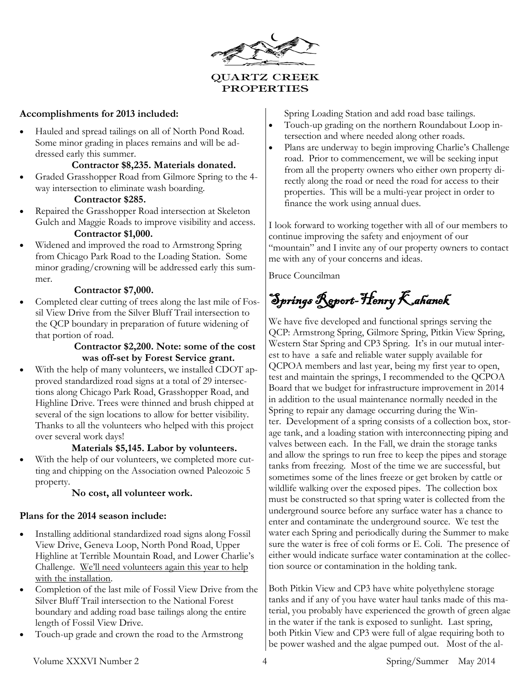

#### **Accomplishments for 2013 included:**

 Hauled and spread tailings on all of North Pond Road. Some minor grading in places remains and will be addressed early this summer.

#### **Contractor \$8,235. Materials donated.**

 Graded Grasshopper Road from Gilmore Spring to the 4 way intersection to eliminate wash boarding.

#### **Contractor \$285.**

- Repaired the Grasshopper Road intersection at Skeleton Gulch and Maggie Roads to improve visibility and access. **Contractor \$1,000.**
- Widened and improved the road to Armstrong Spring from Chicago Park Road to the Loading Station. Some minor grading/crowning will be addressed early this summer.

#### **Contractor \$7,000.**

 Completed clear cutting of trees along the last mile of Fossil View Drive from the Silver Bluff Trail intersection to the QCP boundary in preparation of future widening of that portion of road.

#### **Contractor \$2,200. Note: some of the cost was off-set by Forest Service grant.**

 With the help of many volunteers, we installed CDOT approved standardized road signs at a total of 29 intersections along Chicago Park Road, Grasshopper Road, and Highline Drive. Trees were thinned and brush chipped at several of the sign locations to allow for better visibility. Thanks to all the volunteers who helped with this project over several work days!

#### **Materials \$5,145. Labor by volunteers.**

 With the help of our volunteers, we completed more cutting and chipping on the Association owned Paleozoic 5 property.

#### **No cost, all volunteer work.**

#### **Plans for the 2014 season include:**

- Installing additional standardized road signs along Fossil View Drive, Geneva Loop, North Pond Road, Upper Highline at Terrible Mountain Road, and Lower Charlie's Challenge. We'll need volunteers again this year to help with the installation.
- Completion of the last mile of Fossil View Drive from the Silver Bluff Trail intersection to the National Forest boundary and adding road base tailings along the entire length of Fossil View Drive.
- Touch-up grade and crown the road to the Armstrong

Spring Loading Station and add road base tailings.

- Touch-up grading on the northern Roundabout Loop intersection and where needed along other roads.
- Plans are underway to begin improving Charlie's Challenge road. Prior to commencement, we will be seeking input from all the property owners who either own property directly along the road or need the road for access to their properties. This will be a multi-year project in order to finance the work using annual dues.

I look forward to working together with all of our members to continue improving the safety and enjoyment of our "mountain" and I invite any of our property owners to contact me with any of your concerns and ideas.

Bruce Councilman

Springs Report-Henry Kahanek

We have five developed and functional springs serving the QCP: Armstrong Spring, Gilmore Spring, Pitkin View Spring, Western Star Spring and CP3 Spring. It's in our mutual interest to have a safe and reliable water supply available for QCPOA members and last year, being my first year to open, test and maintain the springs, I recommended to the QCPOA Board that we budget for infrastructure improvement in 2014 in addition to the usual maintenance normally needed in the Spring to repair any damage occurring during the Winter. Development of a spring consists of a collection box, storage tank, and a loading station with interconnecting piping and valves between each. In the Fall, we drain the storage tanks and allow the springs to run free to keep the pipes and storage tanks from freezing. Most of the time we are successful, but sometimes some of the lines freeze or get broken by cattle or wildlife walking over the exposed pipes. The collection box must be constructed so that spring water is collected from the underground source before any surface water has a chance to enter and contaminate the underground source. We test the water each Spring and periodically during the Summer to make sure the water is free of coli forms or E. Coli. The presence of either would indicate surface water contamination at the collection source or contamination in the holding tank.

Both Pitkin View and CP3 have white polyethylene storage tanks and if any of you have water haul tanks made of this material, you probably have experienced the growth of green algae in the water if the tank is exposed to sunlight. Last spring, both Pitkin View and CP3 were full of algae requiring both to be power washed and the algae pumped out. Most of the al-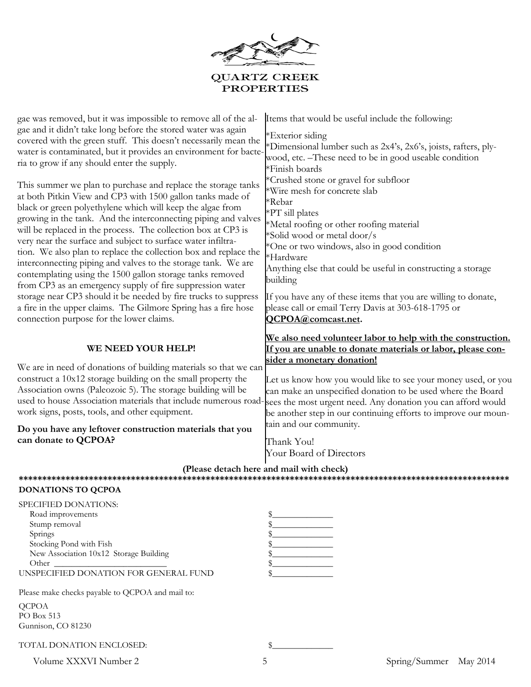

| gae was removed, but it was impossible to remove all of the al-<br>gae and it didn't take long before the stored water was again<br>covered with the green stuff. This doesn't necessarily mean the<br>water is contaminated, but it provides an environment for bacte-<br>ria to grow if any should enter the supply.<br>This summer we plan to purchase and replace the storage tanks<br>at both Pitkin View and CP3 with 1500 gallon tanks made of<br>black or green polyethylene which will keep the algae from<br>growing in the tank. And the interconnecting piping and valves | Items that would be useful include the following:<br>*Exterior siding<br>*Dimensional lumber such as 2x4's, 2x6's, joists, rafters, ply-<br>wood, etc. –These need to be in good useable condition<br>*Finish boards<br>*Crushed stone or gravel for subfloor<br><b>Wire mesh for concrete slab</b><br>*Rebar<br>$*PT$ sill plates<br>*Metal roofing or other roofing material |
|---------------------------------------------------------------------------------------------------------------------------------------------------------------------------------------------------------------------------------------------------------------------------------------------------------------------------------------------------------------------------------------------------------------------------------------------------------------------------------------------------------------------------------------------------------------------------------------|--------------------------------------------------------------------------------------------------------------------------------------------------------------------------------------------------------------------------------------------------------------------------------------------------------------------------------------------------------------------------------|
| will be replaced in the process. The collection box at CP3 is<br>very near the surface and subject to surface water infiltra-<br>tion. We also plan to replace the collection box and replace the<br>interconnecting piping and valves to the storage tank. We are<br>contemplating using the 1500 gallon storage tanks removed<br>from CP3 as an emergency supply of fire suppression water<br>storage near CP3 should it be needed by fire trucks to suppress<br>a fire in the upper claims. The Gilmore Spring has a fire hose<br>connection purpose for the lower claims.         | *Solid wood or metal door/s<br>*One or two windows, also in good condition<br>*Hardware<br>Anything else that could be useful in constructing a storage<br>building<br>If you have any of these items that you are willing to donate,<br>please call or email Terry Davis at 303-618-1795 or<br>QCPOA@comcast.net.                                                             |
| WE NEED YOUR HELP!                                                                                                                                                                                                                                                                                                                                                                                                                                                                                                                                                                    | We also need volunteer labor to help with the construction.<br>If you are unable to donate materials or labor, please con-                                                                                                                                                                                                                                                     |
| We are in need of donations of building materials so that we can<br>construct a 10x12 storage building on the small property the<br>Association owns (Paleozoic 5). The storage building will be<br>used to house Association materials that include numerous road-<br>work signs, posts, tools, and other equipment.                                                                                                                                                                                                                                                                 | sider a monetary donation!<br>Let us know how you would like to see your money used, or you<br>can make an unspecified donation to be used where the Board<br>sees the most urgent need. Any donation you can afford would<br>be another step in our continuing efforts to improve our moun-                                                                                   |
| Do you have any leftover construction materials that you<br>can donate to QCPOA?                                                                                                                                                                                                                                                                                                                                                                                                                                                                                                      | tain and our community.<br>Thank You!<br>Your Board of Directors                                                                                                                                                                                                                                                                                                               |
| (Please detach here and mail with check)                                                                                                                                                                                                                                                                                                                                                                                                                                                                                                                                              |                                                                                                                                                                                                                                                                                                                                                                                |

#### **DONATIONS TO QCPOA**

| SPECIFIED DONATIONS:                   |  |
|----------------------------------------|--|
| Road improvements                      |  |
| Stump removal                          |  |
| Springs                                |  |
| Stocking Pond with Fish                |  |
| New Association 10x12 Storage Building |  |
| Other                                  |  |
| UNSPECIFIED DONATION FOR GENERAL FUND  |  |

Please make checks payable to QCPOA and mail to: QCPOA PO Box 513 Gunnison, CO 81230

TOTAL DONATION ENCLOSED:

Volume XXXVI Number 2 5 5 Spring/Summer May 2014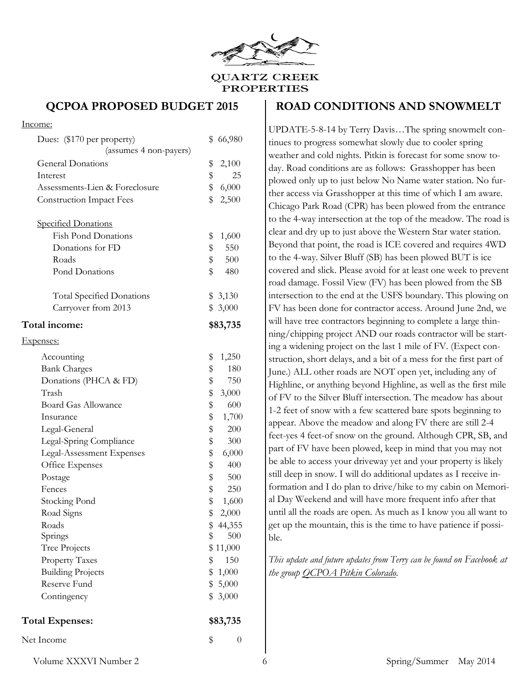

#### **QCPOA PROPOSED BUDGET 2015**

#### Income:

| Dues: (\$170 per property)<br>(assumes 4 non-payers) | 66,980<br>\$   |
|------------------------------------------------------|----------------|
| <b>General Donations</b>                             | \$<br>2,100    |
| Interest                                             | \$<br>25       |
| Assessments-Lien & Foreclosure                       | \$<br>6,000    |
| <b>Construction Impact Fees</b>                      | \$<br>2,500    |
|                                                      |                |
| <b>Specified Donations</b>                           |                |
| <b>Fish Pond Donations</b>                           | \$<br>1,600    |
| Donations for FD                                     | \$<br>550      |
| Roads                                                | \$<br>500      |
| Pond Donations                                       | \$<br>480      |
| <b>Total Specified Donations</b>                     | \$3,130        |
| Carryover from 2013                                  | \$3,000        |
| Total income:                                        | \$83,735       |
| <u>Expenses:</u>                                     |                |
| Accounting                                           | \$<br>1,250    |
| <b>Bank Charges</b>                                  | \$<br>180      |
| Donations (PHCA & FD)                                | \$<br>750      |
| Trash                                                | \$<br>3,000    |
| <b>Board Gas Allowance</b>                           | \$<br>600      |
| Insurance                                            | \$<br>1,700    |
| Legal-General                                        | \$<br>200      |
| Legal-Spring Compliance                              | \$<br>300      |
| Legal-Assessment Expenses                            | \$<br>6,000    |
| Office Expenses                                      | \$<br>400      |
| Postage                                              | \$<br>500      |
| Fences                                               | \$<br>250      |
| Stocking Pond                                        | \$<br>1,600    |
| Road Signs                                           | \$<br>2,000    |
| Roads                                                | \$<br>44,355   |
| Springs                                              | \$<br>500      |
| Tree Projects                                        | \$11,000       |
| <b>Property Taxes</b>                                | \$<br>150      |
| <b>Building Projects</b>                             | \$<br>1,000    |
| Reserve Fund                                         | \$<br>5,000    |
| Contingency                                          | \$<br>3,000    |
| <b>Total Expenses:</b>                               | \$83,735       |
| Net Income                                           | \$<br>$\theta$ |
|                                                      |                |

#### **ROAD CONDITIONS AND SNOWMELT**

UPDATE-5-8-14 by Terry Davis…The spring snowmelt continues to progress somewhat slowly due to cooler spring weather and cold nights. Pitkin is forecast for some snow today. Road conditions are as follows: Grasshopper has been plowed only up to just below No Name water station. No further access via Grasshopper at this time of which I am aware. Chicago Park Road (CPR) has been plowed from the entrance to the 4-way intersection at the top of the meadow. The road is clear and dry up to just above the Western Star water station. Beyond that point, the road is ICE covered and requires 4WD to the 4-way. Silver Bluff (SB) has been plowed BUT is ice covered and slick. Please avoid for at least one week to prevent road damage. Fossil View (FV) has been plowed from the SB intersection to the end at the USFS boundary. This plowing on FV has been done for contractor access. Around June 2nd, we will have tree contractors beginning to complete a large thinning/chipping project AND our roads contractor will be starting a widening project on the last 1 mile of FV. (Expect construction, short delays, and a bit of a mess for the first part of June.) ALL other roads are NOT open yet, including any of Highline, or anything beyond Highline, as well as the first mile of FV to the Silver Bluff intersection. The meadow has about 1-2 feet of snow with a few scattered bare spots beginning to appear. Above the meadow and along FV there are still 2-4 feet-yes 4 feet-of snow on the ground. Although CPR, SB, and part of FV have been plowed, keep in mind that you may not be able to access your driveway yet and your property is likely still deep in snow. I will do additional updates as I receive information and I do plan to drive/hike to my cabin on Memorial Day Weekend and will have more frequent info after that until all the roads are open. As much as I know you all want to get up the mountain, this is the time to have patience if possible.

*This update and future updates from Terry can be found on Facebook at the group QCPOA Pitkin Colorado.*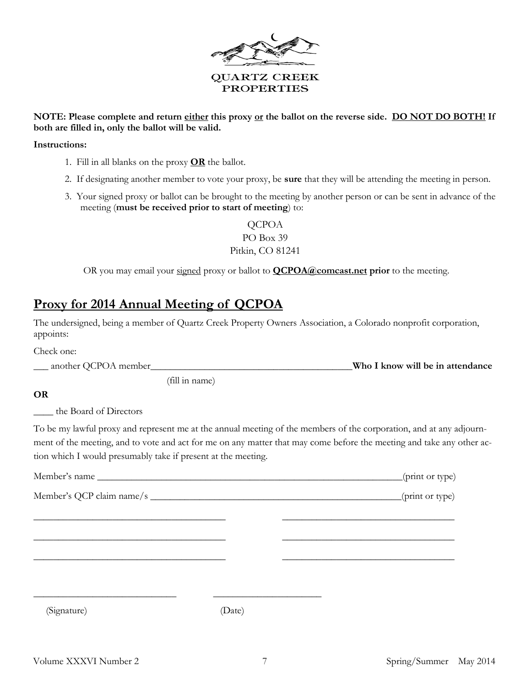

#### **NOTE: Please complete and return either this proxy or the ballot on the reverse side. DO NOT DO BOTH! If both are filled in, only the ballot will be valid.**

#### **Instructions:**

- 1. Fill in all blanks on the proxy **OR** the ballot.
- 2. If designating another member to vote your proxy, be **sure** that they will be attending the meeting in person.
- 3. Your signed proxy or ballot can be brought to the meeting by another person or can be sent in advance of the meeting (**must be received prior to start of meeting**) to:

QCPOA PO Box 39 Pitkin, CO 81241

OR you may email your signed proxy or ballot to **[QCPOA@comcast.net](mailto:QCPOA@comcast.net) prior** to the meeting.

### **Proxy for 2014 Annual Meeting of QCPOA**

The undersigned, being a member of Quartz Creek Property Owners Association, a Colorado nonprofit corporation, appoints:

| Check one:               |                                  |
|--------------------------|----------------------------------|
| __ another QCPOA member_ | Who I know will be in attendance |

(fill in name)

#### **OR**

the Board of Directors

To be my lawful proxy and represent me at the annual meeting of the members of the corporation, and at any adjournment of the meeting, and to vote and act for me on any matter that may come before the meeting and take any other action which I would presumably take if present at the meeting.

|             |        | (print or type) |
|-------------|--------|-----------------|
|             |        | (print or type) |
|             |        |                 |
|             |        |                 |
|             |        |                 |
|             |        |                 |
| (Signature) | (Date) |                 |